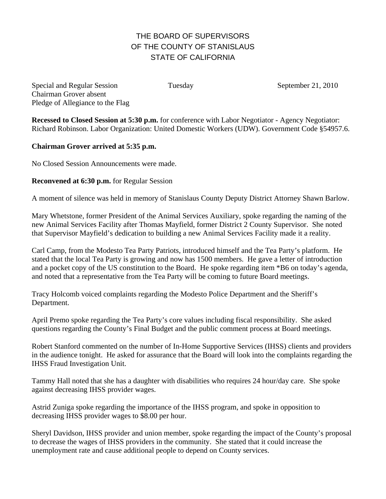## THE BOARD OF SUPERVISORS OF THE COUNTY OF STANISLAUS STATE OF CALIFORNIA

Special and Regular Session Tuesday September 21, 2010 Chairman Grover absent Pledge of Allegiance to the Flag

**Recessed to Closed Session at 5:30 p.m.** for conference with Labor Negotiator - Agency Negotiator: Richard Robinson. Labor Organization: United Domestic Workers (UDW). Government Code §54957.6.

## **Chairman Grover arrived at 5:35 p.m.**

No Closed Session Announcements were made.

## **Reconvened at 6:30 p.m.** for Regular Session

A moment of silence was held in memory of Stanislaus County Deputy District Attorney Shawn Barlow.

Mary Whetstone, former President of the Animal Services Auxiliary, spoke regarding the naming of the new Animal Services Facility after Thomas Mayfield, former District 2 County Supervisor. She noted that Supervisor Mayfield's dedication to building a new Animal Services Facility made it a reality.

Carl Camp, from the Modesto Tea Party Patriots, introduced himself and the Tea Party's platform. He stated that the local Tea Party is growing and now has 1500 members. He gave a letter of introduction and a pocket copy of the US constitution to the Board. He spoke regarding item \*B6 on today's agenda, and noted that a representative from the Tea Party will be coming to future Board meetings.

Tracy Holcomb voiced complaints regarding the Modesto Police Department and the Sheriff's Department.

April Premo spoke regarding the Tea Party's core values including fiscal responsibility. She asked questions regarding the County's Final Budget and the public comment process at Board meetings.

Robert Stanford commented on the number of In-Home Supportive Services (IHSS) clients and providers in the audience tonight. He asked for assurance that the Board will look into the complaints regarding the IHSS Fraud Investigation Unit.

Tammy Hall noted that she has a daughter with disabilities who requires 24 hour/day care. She spoke against decreasing IHSS provider wages.

Astrid Zuniga spoke regarding the importance of the IHSS program, and spoke in opposition to decreasing IHSS provider wages to \$8.00 per hour.

Sheryl Davidson, IHSS provider and union member, spoke regarding the impact of the County's proposal to decrease the wages of IHSS providers in the community. She stated that it could increase the unemployment rate and cause additional people to depend on County services.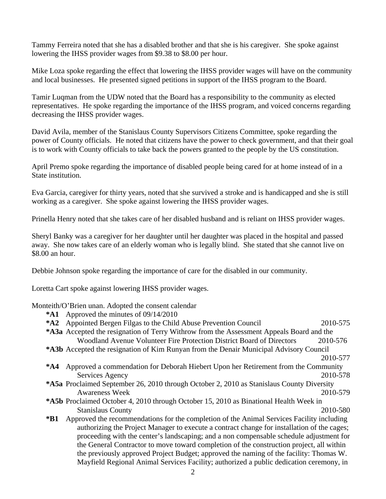Tammy Ferreira noted that she has a disabled brother and that she is his caregiver. She spoke against lowering the IHSS provider wages from \$9.38 to \$8.00 per hour.

Mike Loza spoke regarding the effect that lowering the IHSS provider wages will have on the community and local businesses. He presented signed petitions in support of the IHSS program to the Board.

Tamir Luqman from the UDW noted that the Board has a responsibility to the community as elected representatives. He spoke regarding the importance of the IHSS program, and voiced concerns regarding decreasing the IHSS provider wages.

David Avila, member of the Stanislaus County Supervisors Citizens Committee, spoke regarding the power of County officials. He noted that citizens have the power to check government, and that their goal is to work with County officials to take back the powers granted to the people by the US constitution.

April Premo spoke regarding the importance of disabled people being cared for at home instead of in a State institution.

Eva Garcia, caregiver for thirty years, noted that she survived a stroke and is handicapped and she is still working as a caregiver. She spoke against lowering the IHSS provider wages.

Prinella Henry noted that she takes care of her disabled husband and is reliant on IHSS provider wages.

Sheryl Banky was a caregiver for her daughter until her daughter was placed in the hospital and passed away. She now takes care of an elderly woman who is legally blind. She stated that she cannot live on \$8.00 an hour.

Debbie Johnson spoke regarding the importance of care for the disabled in our community.

Loretta Cart spoke against lowering IHSS provider wages.

## Monteith/O'Brien unan. Adopted the consent calendar

- **\*A1** Approved the minutes of 09/14/2010
- **\*A2** Appointed Bergen Filgas to the Child Abuse Prevention Council 2010-575
- **\*A3a** Accepted the resignation of Terry Withrow from the Assessment Appeals Board and the Woodland Avenue Volunteer Fire Protection District Board of Directors 2010-576
- **\*A3b** Accepted the resignation of Kim Runyan from the Denair Municipal Advisory Council

2010-577

- **\*A4** Approved a commendation for Deborah Hiebert Upon her Retirement from the Community Services Agency 2010-578
- **\*A5a** Proclaimed September 26, 2010 through October 2, 2010 as Stanislaus County Diversity Awareness Week 2010-579
- **\*A5b** Proclaimed October 4, 2010 through October 15, 2010 as Binational Health Week in Stanislaus County 2010-580
- **\*B1** Approved the recommendations for the completion of the Animal Services Facility including authorizing the Project Manager to execute a contract change for installation of the cages; proceeding with the center's landscaping; and a non compensable schedule adjustment for the General Contractor to move toward completion of the construction project, all within the previously approved Project Budget; approved the naming of the facility: Thomas W. Mayfield Regional Animal Services Facility; authorized a public dedication ceremony, in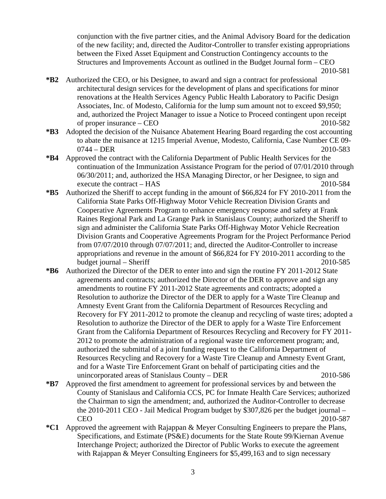conjunction with the five partner cities, and the Animal Advisory Board for the dedication of the new facility; and, directed the Auditor-Controller to transfer existing appropriations between the Fixed Asset Equipment and Construction Contingency accounts to the Structures and Improvements Account as outlined in the Budget Journal form – CEO

2010-581

- **\*B2** Authorized the CEO, or his Designee, to award and sign a contract for professional architectural design services for the development of plans and specifications for minor renovations at the Health Services Agency Public Health Laboratory to Pacific Design Associates, Inc. of Modesto, California for the lump sum amount not to exceed \$9,950; and, authorized the Project Manager to issue a Notice to Proceed contingent upon receipt of proper insurance – CEO 2010-582
- **\*B3** Adopted the decision of the Nuisance Abatement Hearing Board regarding the cost accounting to abate the nuisance at 1215 Imperial Avenue, Modesto, California, Case Number CE 09- 0744 – DER 2010-583
- **\*B4** Approved the contract with the California Department of Public Health Services for the continuation of the Immunization Assistance Program for the period of 07/01/2010 through 06/30/2011; and, authorized the HSA Managing Director, or her Designee, to sign and execute the contract – HAS 2010-584
- **\*B5** Authorized the Sheriff to accept funding in the amount of \$66,824 for FY 2010-2011 from the California State Parks Off-Highway Motor Vehicle Recreation Division Grants and Cooperative Agreements Program to enhance emergency response and safety at Frank Raines Regional Park and La Grange Park in Stanislaus County; authorized the Sheriff to sign and administer the California State Parks Off-Highway Motor Vehicle Recreation Division Grants and Cooperative Agreements Program for the Project Performance Period from 07/07/2010 through 07/07/2011; and, directed the Auditor-Controller to increase appropriations and revenue in the amount of \$66,824 for FY 2010-2011 according to the budget journal – Sheriff 2010-585
- **\*B6** Authorized the Director of the DER to enter into and sign the routine FY 2011-2012 State agreements and contracts; authorized the Director of the DER to approve and sign any amendments to routine FY 2011-2012 State agreements and contracts; adopted a Resolution to authorize the Director of the DER to apply for a Waste Tire Cleanup and Amnesty Event Grant from the California Department of Resources Recycling and Recovery for FY 2011-2012 to promote the cleanup and recycling of waste tires; adopted a Resolution to authorize the Director of the DER to apply for a Waste Tire Enforcement Grant from the California Department of Resources Recycling and Recovery for FY 2011- 2012 to promote the administration of a regional waste tire enforcement program; and, authorized the submittal of a joint funding request to the California Department of Resources Recycling and Recovery for a Waste Tire Cleanup and Amnesty Event Grant, and for a Waste Tire Enforcement Grant on behalf of participating cities and the unincorporated areas of Stanislaus County – DER 2010-586
- **\*B7** Approved the first amendment to agreement for professional services by and between the County of Stanislaus and California CCS, PC for Inmate Health Care Services; authorized the Chairman to sign the amendment; and, authorized the Auditor-Controller to decrease the 2010-2011 CEO - Jail Medical Program budget by \$307,826 per the budget journal – CEO 2010-587
- **\*C1** Approved the agreement with Rajappan & Meyer Consulting Engineers to prepare the Plans, Specifications, and Estimate (PS&E) documents for the State Route 99/Kiernan Avenue Interchange Project; authorized the Director of Public Works to execute the agreement with Rajappan & Meyer Consulting Engineers for \$5,499,163 and to sign necessary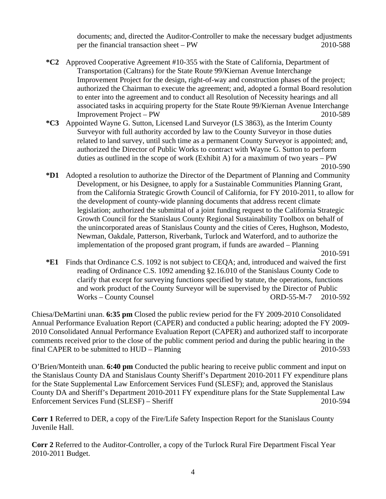documents; and, directed the Auditor-Controller to make the necessary budget adjustments per the financial transaction sheet – PW 2010-588

- **\*C2** Approved Cooperative Agreement #10-355 with the State of California, Department of Transportation (Caltrans) for the State Route 99/Kiernan Avenue Interchange Improvement Project for the design, right-of-way and construction phases of the project; authorized the Chairman to execute the agreement; and, adopted a formal Board resolution to enter into the agreement and to conduct all Resolution of Necessity hearings and all associated tasks in acquiring property for the State Route 99/Kiernan Avenue Interchange Improvement Project – PW 2010-589
- **\*C3** Appointed Wayne G. Sutton, Licensed Land Surveyor (LS 3863), as the Interim County Surveyor with full authority accorded by law to the County Surveyor in those duties related to land survey, until such time as a permanent County Surveyor is appointed; and, authorized the Director of Public Works to contract with Wayne G. Sutton to perform duties as outlined in the scope of work (Exhibit A) for a maximum of two years – PW 2010-590
- **\*D1** Adopted a resolution to authorize the Director of the Department of Planning and Community Development, or his Designee, to apply for a Sustainable Communities Planning Grant, from the California Strategic Growth Council of California, for FY 2010-2011, to allow for the development of county-wide planning documents that address recent climate legislation; authorized the submittal of a joint funding request to the California Strategic Growth Council for the Stanislaus County Regional Sustainability Toolbox on behalf of the unincorporated areas of Stanislaus County and the cities of Ceres, Hughson, Modesto, Newman, Oakdale, Patterson, Riverbank, Turlock and Waterford, and to authorize the implementation of the proposed grant program, if funds are awarded – Planning 2010-591

**\*E1** Finds that Ordinance C.S. 1092 is not subject to CEQA; and, introduced and waived the first reading of Ordinance C.S. 1092 amending §2.16.010 of the Stanislaus County Code to clarify that except for surveying functions specified by statute, the operations, functions and work product of the County Surveyor will be supervised by the Director of Public Works – County Counsel **ORD-55-M-7** 2010-592

Chiesa/DeMartini unan. **6:35 pm** Closed the public review period for the FY 2009-2010 Consolidated Annual Performance Evaluation Report (CAPER) and conducted a public hearing; adopted the FY 2009- 2010 Consolidated Annual Performance Evaluation Report (CAPER) and authorized staff to incorporate comments received prior to the close of the public comment period and during the public hearing in the final CAPER to be submitted to HUD – Planning 2010-593

O'Brien/Monteith unan. **6:40 pm** Conducted the public hearing to receive public comment and input on the Stanislaus County DA and Stanislaus County Sheriff's Department 2010-2011 FY expenditure plans for the State Supplemental Law Enforcement Services Fund (SLESF); and, approved the Stanislaus County DA and Sheriff's Department 2010-2011 FY expenditure plans for the State Supplemental Law Enforcement Services Fund (SLESF) – Sheriff 2010-594

**Corr 1** Referred to DER, a copy of the Fire/Life Safety Inspection Report for the Stanislaus County Juvenile Hall.

**Corr 2** Referred to the Auditor-Controller, a copy of the Turlock Rural Fire Department Fiscal Year 2010-2011 Budget.